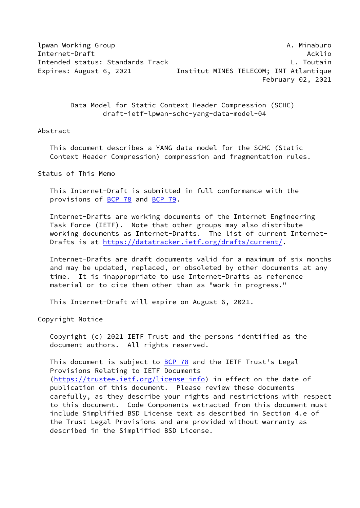lpwan Working Group **A. Minaburo A. Minaburo** A. Minaburo Internet-Draft Ackline Ackline Ackline Ackline Ackline Ackline Ackline Ackline Ackline Ackline Ackline Ackline Intended status: Standards Track L. Toutain Expires: August 6, 2021 **Institut MINES TELECOM**; IMT Atlantique February 02, 2021

> Data Model for Static Context Header Compression (SCHC) draft-ietf-lpwan-schc-yang-data-model-04

#### Abstract

 This document describes a YANG data model for the SCHC (Static Context Header Compression) compression and fragmentation rules.

Status of This Memo

 This Internet-Draft is submitted in full conformance with the provisions of [BCP 78](https://datatracker.ietf.org/doc/pdf/bcp78) and [BCP 79](https://datatracker.ietf.org/doc/pdf/bcp79).

 Internet-Drafts are working documents of the Internet Engineering Task Force (IETF). Note that other groups may also distribute working documents as Internet-Drafts. The list of current Internet- Drafts is at<https://datatracker.ietf.org/drafts/current/>.

 Internet-Drafts are draft documents valid for a maximum of six months and may be updated, replaced, or obsoleted by other documents at any time. It is inappropriate to use Internet-Drafts as reference material or to cite them other than as "work in progress."

This Internet-Draft will expire on August 6, 2021.

Copyright Notice

 Copyright (c) 2021 IETF Trust and the persons identified as the document authors. All rights reserved.

This document is subject to **[BCP 78](https://datatracker.ietf.org/doc/pdf/bcp78)** and the IETF Trust's Legal Provisions Relating to IETF Documents [\(https://trustee.ietf.org/license-info](https://trustee.ietf.org/license-info)) in effect on the date of publication of this document. Please review these documents carefully, as they describe your rights and restrictions with respect to this document. Code Components extracted from this document must include Simplified BSD License text as described in Section 4.e of the Trust Legal Provisions and are provided without warranty as described in the Simplified BSD License.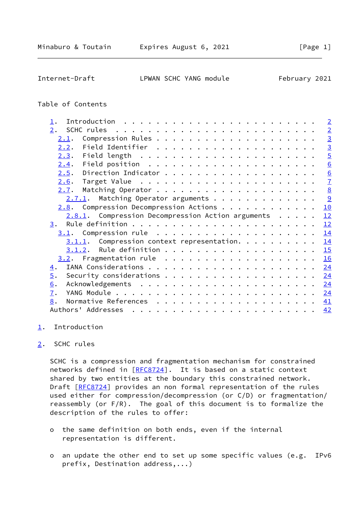<span id="page-1-1"></span>Internet-Draft LPWAN SCHC YANG module February 2021

## Table of Contents

| $\mathbf 1$ .                                        | $\overline{2}$  |
|------------------------------------------------------|-----------------|
| 2.                                                   | $\overline{2}$  |
| 2.1.                                                 | $\overline{3}$  |
| 2.2.                                                 | $\overline{3}$  |
| 2.3.                                                 | $\overline{5}$  |
| 2.4.                                                 | $\underline{6}$ |
| 2.5.                                                 | $\underline{6}$ |
| 2.6.                                                 | $\overline{1}$  |
| 2.7.                                                 | 8               |
| $2.7.1$ . Matching Operator arguments                | 9               |
| Compression Decompression Actions<br>2.8.            | 10              |
| $2.8.1$ . Compression Decompression Action arguments | 12              |
| 3.                                                   | 12              |
| 3.1.                                                 | 14              |
| $3.1.1.$ Compression context representation.         | 14              |
|                                                      | 15              |
|                                                      | 16              |
| $\overline{4}$ .                                     | 24              |
| 5.                                                   | 24              |
| 6.                                                   | 24              |
| 7.                                                   | 24              |
| 8.                                                   | 41              |
| Authors' Addresses                                   | 42              |

#### <span id="page-1-0"></span>[1](#page-1-0). Introduction

## <span id="page-1-2"></span>[2](#page-1-2). SCHC rules

 SCHC is a compression and fragmentation mechanism for constrained networks defined in [\[RFC8724](https://datatracker.ietf.org/doc/pdf/rfc8724)]. It is based on a static context shared by two entities at the boundary this constrained network. Draft [[RFC8724](https://datatracker.ietf.org/doc/pdf/rfc8724)] provides an non formal representation of the rules used either for compression/decompression (or C/D) or fragmentation/ reassembly (or F/R). The goal of this document is to formalize the description of the rules to offer:

- o the same definition on both ends, even if the internal representation is different.
- o an update the other end to set up some specific values (e.g. IPv6 prefix, Destination address,...)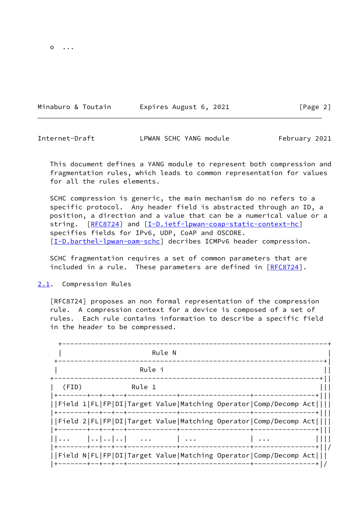Minaburo & Toutain **Expires August 6, 2021** [Page 2]

<span id="page-2-1"></span>Internet-Draft **LPWAN SCHC YANG module** February 2021

 This document defines a YANG module to represent both compression and fragmentation rules, which leads to common representation for values for all the rules elements.

 SCHC compression is generic, the main mechanism do no refers to a specific protocol. Any header field is abstracted through an ID, a position, a direction and a value that can be a numerical value or a string. [\[RFC8724](https://datatracker.ietf.org/doc/pdf/rfc8724)] and [\[I-D.ietf-lpwan-coap-static-context-hc](#page-46-1)] specifies fields for IPv6, UDP, CoAP and OSCORE. [\[I-D.barthel-lpwan-oam-schc\]](#page-45-2) decribes ICMPv6 header compression.

 SCHC fragmentation requires a set of common parameters that are included in a rule. These parameters are defined in [\[RFC8724](https://datatracker.ietf.org/doc/pdf/rfc8724)].

<span id="page-2-0"></span>[2.1](#page-2-0). Compression Rules

 [RFC8724] proposes an non formal representation of the compression rule. A compression context for a device is composed of a set of rules. Each rule contains information to describe a specific field in the header to be compressed.

|       |  |  |                         | Rule N |  |                                                                 |  |
|-------|--|--|-------------------------|--------|--|-----------------------------------------------------------------|--|
|       |  |  | Rule i                  |        |  |                                                                 |  |
| (FID) |  |  | <b>Example 1</b> Rule 1 |        |  |                                                                 |  |
|       |  |  |                         |        |  | Field 1 FL FP DI Target Value Matching Operator Comp/Decomp Act |  |
|       |  |  |                         |        |  | Field 2 FL FP DI Target Value Matching Operator Comp/Decomp Act |  |
|       |  |  | $                  $    |        |  |                                                                 |  |
|       |  |  |                         |        |  | Field N FL FP DI Target Value Matching Operator Comp/Decomp Act |  |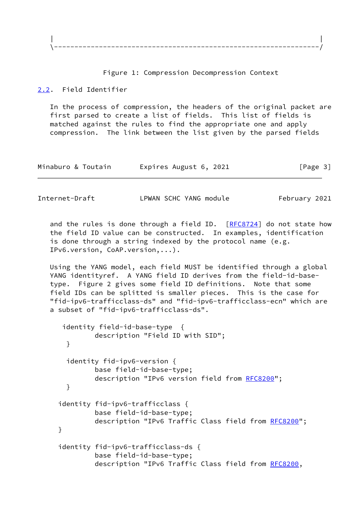

#### Figure 1: Compression Decompression Context

#### <span id="page-3-0"></span>[2.2](#page-3-0). Field Identifier

 In the process of compression, the headers of the original packet are first parsed to create a list of fields. This list of fields is matched against the rules to find the appropriate one and apply compression. The link between the list given by the parsed fields

| Minaburo & Toutain | Expires August 6, 2021 | [Page 3] |
|--------------------|------------------------|----------|
|--------------------|------------------------|----------|

Internet-Draft LPWAN SCHC YANG module February 2021

and the rules is done through a field ID.  $[REC8724]$  do not state how the field ID value can be constructed. In examples, identification is done through a string indexed by the protocol name (e.g. IPv6.version, CoAP.version,...).

 Using the YANG model, each field MUST be identified through a global YANG identityref. A YANG field ID derives from the field-id-base type. Figure 2 gives some field ID definitions. Note that some field IDs can be splitted is smaller pieces. This is the case for "fid-ipv6-trafficclass-ds" and "fid-ipv6-trafficclass-ecn" which are a subset of "fid-ipv6-trafficclass-ds".

```
 identity field-id-base-type {
       description "Field ID with SID";
  }
  identity fid-ipv6-version {
       base field-id-base-type;
       RFC8200";
  }
 identity fid-ipv6-trafficclass {
       base field-id-base-type;
       RFC8200";
 }
 identity fid-ipv6-trafficclass-ds {
       base field-id-base-type;
       RFC8200,
```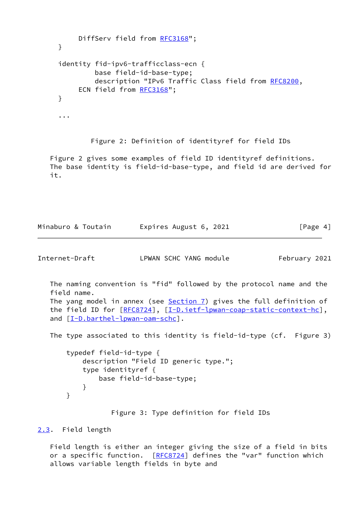```
RFC3168";
     }
     identity fid-ipv6-trafficclass-ecn {
              base field-id-base-type;
              description "IPv6 Traffic Class field from RFC8200,
          ECN field from RFC3168";
     }
      ...
             Figure 2: Definition of identityref for field IDs
    Figure 2 gives some examples of field ID identityref definitions.
   The base identity is field-id-base-type, and field id are derived for
    it.
Minaburo & Toutain Expires August 6, 2021 [Page 4]
Internet-Draft LPWAN SCHC YANG module February 2021
   The naming convention is "fid" followed by the protocol name and the
    field name.
  The yang model in annex (see Section 7) gives the full definition of
   the field ID for [RFC8724], [I-D.ietf-lpwan-coap-static-context-hc],
  and [I-D.barthel-lpwan-oam-schc].
   The type associated to this identity is field-id-type (cf. Figure 3)
       typedef field-id-type {
           description "Field ID generic type.";
           type identityref {
               base field-id-base-type;
 }
       }
                  Figure 3: Type definition for field IDs
```
#### <span id="page-4-1"></span><span id="page-4-0"></span>[2.3](#page-4-0). Field length

 Field length is either an integer giving the size of a field in bits or a specific function. [\[RFC8724](https://datatracker.ietf.org/doc/pdf/rfc8724)] defines the "var" function which allows variable length fields in byte and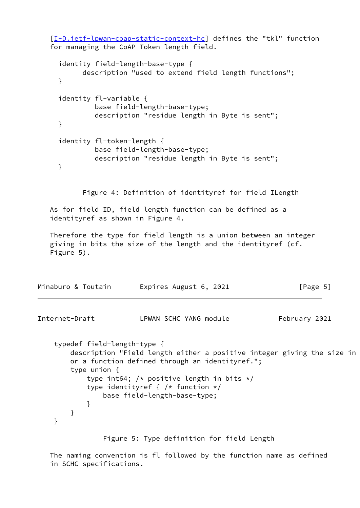[\[I-D.ietf-lpwan-coap-static-context-hc](#page-46-1)] defines the "tkl" function for managing the CoAP Token length field. identity field-length-base-type { description "used to extend field length functions"; } identity fl-variable { base field-length-base-type; description "residue length in Byte is sent"; } identity fl-token-length { base field-length-base-type; description "residue length in Byte is sent"; } Figure 4: Definition of identityref for field ILength As for field ID, field length function can be defined as a identityref as shown in Figure 4. Therefore the type for field length is a union between an integer giving in bits the size of the length and the identityref (cf. Figure 5). Minaburo & Toutain Expires August 6, 2021 [Page 5] Internet-Draft **LPWAN SCHC YANG module** February 2021 typedef field-length-type { description "Field length either a positive integer giving the size in or a function defined through an identityref."; type union { type int64; /\* positive length in bits  $*/$ type identityref {  $/*$  function  $*/$  base field-length-base-type; } } }

<span id="page-5-0"></span>Figure 5: Type definition for field Length

 The naming convention is fl followed by the function name as defined in SCHC specifications.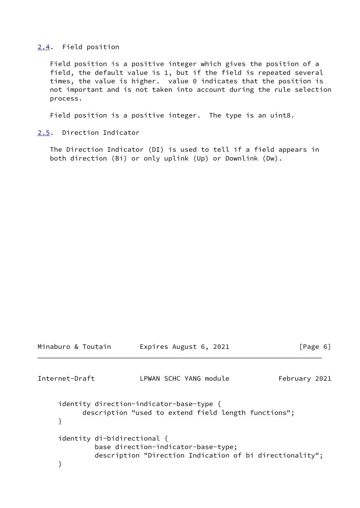#### <span id="page-6-0"></span>[2.4](#page-6-0). Field position

 Field position is a positive integer which gives the position of a field, the default value is 1, but if the field is repeated several times, the value is higher. value 0 indicates that the position is not important and is not taken into account during the rule selection process.

Field position is a positive integer. The type is an uint8.

#### <span id="page-6-1"></span>[2.5](#page-6-1). Direction Indicator

 The Direction Indicator (DI) is used to tell if a field appears in both direction (Bi) or only uplink (Up) or Downlink (Dw).

```
Minaburo & Toutain Expires August 6, 2021 [Page 6]
Internet-Draft LPWAN SCHC YANG module February 2021
     identity direction-indicator-base-type {
           description "used to extend field length functions";
     }
     identity di-bidirectional {
             base direction-indicator-base-type;
             description "Direction Indication of bi directionality";
     }
```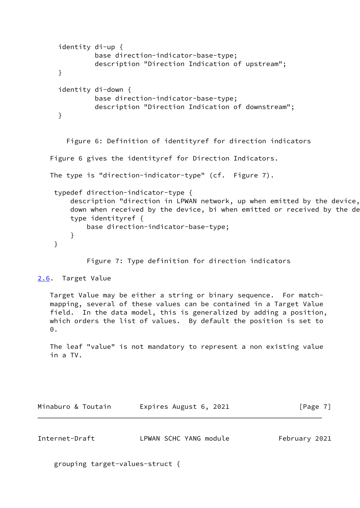```
 identity di-up {
            base direction-indicator-base-type;
            description "Direction Indication of upstream";
   }
   identity di-down {
            base direction-indicator-base-type;
            description "Direction Indication of downstream";
   }
     Figure 6: Definition of identityref for direction indicators
 Figure 6 gives the identityref for Direction Indicators.
 The type is "direction-indicator-type" (cf. Figure 7).
  typedef direction-indicator-type {
      description "direction in LPWAN network, up when emitted by the device,
     down when received by the device, bi when emitted or received by the de
      type identityref {
          base direction-indicator-base-type;
      }
  }
```
Figure 7: Type definition for direction indicators

## <span id="page-7-0"></span>[2.6](#page-7-0). Target Value

 Target Value may be either a string or binary sequence. For match mapping, several of these values can be contained in a Target Value field. In the data model, this is generalized by adding a position, which orders the list of values. By default the position is set to 0.

 The leaf "value" is not mandatory to represent a non existing value in a TV.

| Minaburo & Toutain | Expires August 6, 2021 | [Page 7] |
|--------------------|------------------------|----------|
|--------------------|------------------------|----------|

<span id="page-7-1"></span>

| Internet-Draft | LPWAN SCHC YANG module | February 2021 |  |
|----------------|------------------------|---------------|--|
|                |                        |               |  |

grouping target-values-struct {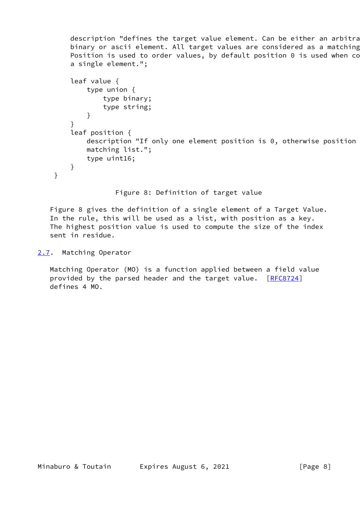description "defines the target value element. Can be either an arbitra binary or ascii element. All target values are considered as a matching Position is used to order values, by default position  $0$  is used when co a single element.";

```
 leaf value {
             type union {
                 type binary;
                 type string;
 }
         }
         leaf position {
            description "If only one element position is 0, otherwise position
             matching list.";
             type uint16;
        }
```
Figure 8: Definition of target value

 Figure 8 gives the definition of a single element of a Target Value. In the rule, this will be used as a list, with position as a key. The highest position value is used to compute the size of the index sent in residue.

<span id="page-8-0"></span>[2.7](#page-8-0). Matching Operator

}

 Matching Operator (MO) is a function applied between a field value provided by the parsed header and the target value. [\[RFC8724](https://datatracker.ietf.org/doc/pdf/rfc8724)] defines 4 MO.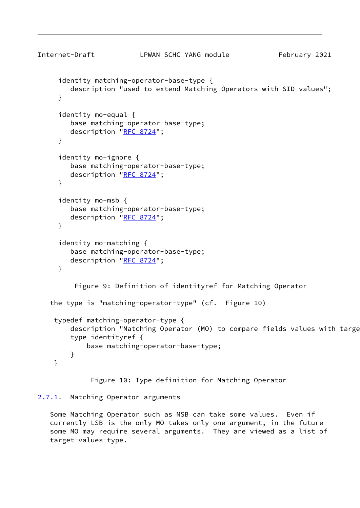```
Internet-Draft LPWAN SCHC YANG module February 2021
     identity matching-operator-base-type {
        description "used to extend Matching Operators with SID values";
     }
     identity mo-equal {
        base matching-operator-base-type;
       "RFC 8724";
     }
     identity mo-ignore {
        base matching-operator-base-type;
       "RFC 8724";
     }
     identity mo-msb {
        base matching-operator-base-type;
       "RFC 8724";
     }
     identity mo-matching {
        base matching-operator-base-type;
        description "RFC 8724";
     }
         Figure 9: Definition of identityref for Matching Operator
    the type is "matching-operator-type" (cf. Figure 10)
    typedef matching-operator-type {
       description "Matching Operator (MO) to compare fields values with targe
        type identityref {
            base matching-operator-base-type;
        }
    }
```
Figure 10: Type definition for Matching Operator

## <span id="page-9-0"></span>[2.7.1](#page-9-0). Matching Operator arguments

 Some Matching Operator such as MSB can take some values. Even if currently LSB is the only MO takes only one argument, in the future some MO may require several arguments. They are viewed as a list of target-values-type.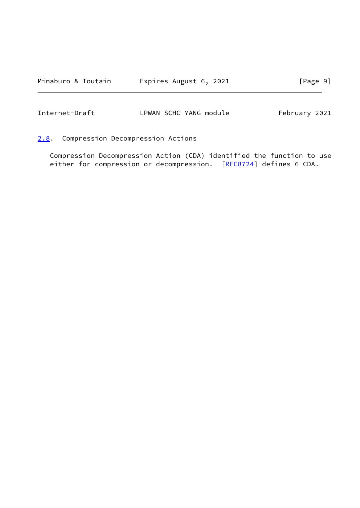<span id="page-10-1"></span>Internet-Draft LPWAN SCHC YANG module February 2021

<span id="page-10-0"></span>[2.8](#page-10-0). Compression Decompression Actions

 Compression Decompression Action (CDA) identified the function to use either for compression or decompression. [[RFC8724](https://datatracker.ietf.org/doc/pdf/rfc8724)] defines 6 CDA.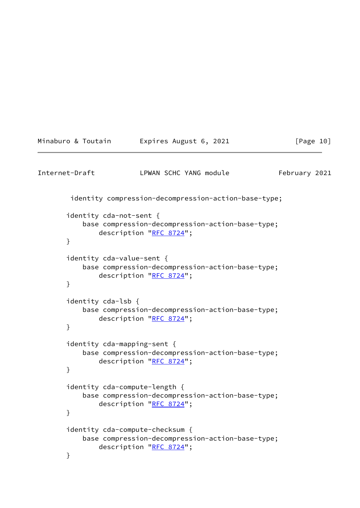```
Minaburo & Toutain Expires August 6, 2021 [Page 10]
Internet-Draft LPWAN SCHC YANG module February 2021
        identity compression-decompression-action-base-type;
       identity cda-not-sent {
           base compression-decompression-action-base-type;
               description "RFC 8724";
       }
       identity cda-value-sent {
           base compression-decompression-action-base-type;
              "RFC 8724";
       }
       identity cda-lsb {
           base compression-decompression-action-base-type;
               description "RFC 8724";
       }
       identity cda-mapping-sent {
           base compression-decompression-action-base-type;
               description "RFC 8724";
       }
       identity cda-compute-length {
           base compression-decompression-action-base-type;
               description "RFC 8724";
       }
       identity cda-compute-checksum {
           base compression-decompression-action-base-type;
              "RFC 8724";
       }
```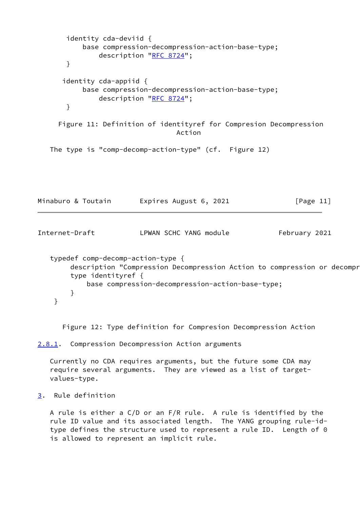```
 identity cda-deviid {
           base compression-decompression-action-base-type;
               description "RFC 8724";
       }
      identity cda-appiid {
           base compression-decompression-action-base-type;
               description "RFC 8724";
       }
     Figure 11: Definition of identityref for Compresion Decompression
                                 Action
   The type is "comp-decomp-action-type" (cf. Figure 12)
Minaburo & Toutain Expires August 6, 2021 [Page 11]
Internet-Draft LPWAN SCHC YANG module February 2021
   typedef comp-decomp-action-type {
       description "Compression Decompression Action to compression or decompr
        type identityref {
```

```
 base compression-decompression-action-base-type;
 }
```
Figure 12: Type definition for Compresion Decompression Action

<span id="page-12-0"></span>[2.8.1](#page-12-0). Compression Decompression Action arguments

 Currently no CDA requires arguments, but the future some CDA may require several arguments. They are viewed as a list of target values-type.

<span id="page-12-2"></span>[3](#page-12-2). Rule definition

}

 A rule is either a C/D or an F/R rule. A rule is identified by the rule ID value and its associated length. The YANG grouping rule-id type defines the structure used to represent a rule ID. Length of 0 is allowed to represent an implicit rule.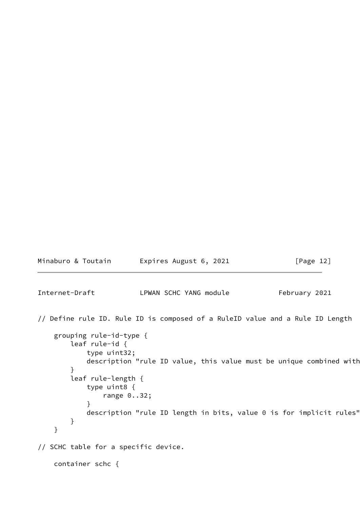Minaburo & Toutain Expires August 6, 2021 [Page 12]

Internet-Draft LPWAN SCHC YANG module February 2021

// Define rule ID. Rule ID is composed of a RuleID value and a Rule ID Length

```
 grouping rule-id-type {
         leaf rule-id {
             type uint32;
            description "rule ID value, this value must be unique combined with
         }
         leaf rule-length {
             type uint8 {
                 range 0..32;
 }
            description "rule ID length in bits, value 0 is for implicit rules"
         }
     }
// SCHC table for a specific device.
     container schc {
```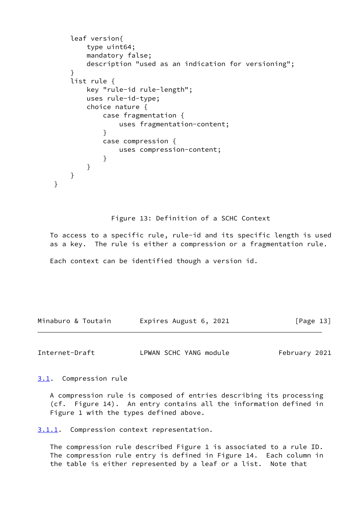```
 leaf version{
           type uint64;
           mandatory false;
           description "used as an indication for versioning";
 }
        list rule {
           key "rule-id rule-length";
           uses rule-id-type;
           choice nature {
               case fragmentation {
                   uses fragmentation-content;
 }
               case compression {
                   uses compression-content;
 }
 }
        }
    }
```
Figure 13: Definition of a SCHC Context

 To access to a specific rule, rule-id and its specific length is used as a key. The rule is either a compression or a fragmentation rule.

Each context can be identified though a version id.

Minaburo & Toutain **Expires August 6, 2021** [Page 13]

<span id="page-14-1"></span>Internet-Draft LPWAN SCHC YANG module February 2021

<span id="page-14-0"></span>[3.1](#page-14-0). Compression rule

 A compression rule is composed of entries describing its processing (cf. Figure 14). An entry contains all the information defined in Figure 1 with the types defined above.

<span id="page-14-2"></span>[3.1.1](#page-14-2). Compression context representation.

 The compression rule described Figure 1 is associated to a rule ID. The compression rule entry is defined in Figure 14. Each column in the table is either represented by a leaf or a list. Note that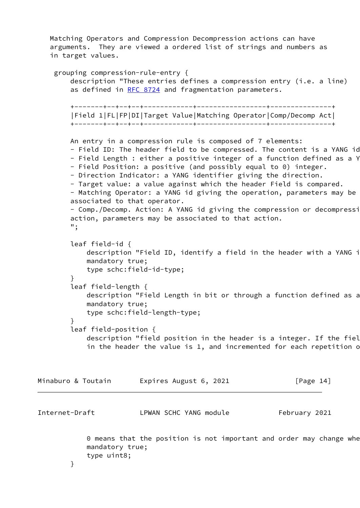Matching Operators and Compression Decompression actions can have arguments. They are viewed a ordered list of strings and numbers as in target values.

```
 grouping compression-rule-entry {
         description "These entries defines a compression entry (i.e. a line)
        RFC 8724 and fragmentation parameters.
         +-------+--+--+--+------------+-----------------+---------------+
         |Field 1|FL|FP|DI|Target Value|Matching Operator|Comp/Decomp Act|
         +-------+--+--+--+------------+-----------------+---------------+
        An entry in a compression rule is composed of 7 elements:
       - Field ID: The header field to be compressed. The content is a YANG id
       - Field Length : either a positive integer of a function defined as a Y
        - Field Position: a positive (and possibly equal to 0) integer.
        - Direction Indicator: a YANG identifier giving the direction.
        - Target value: a value against which the header Field is compared.
        - Matching Operator: a YANG id giving the operation, parameters may be
        associated to that operator.
       - Comp./Decomp. Action: A YANG id giving the compression or decompressi
        action, parameters may be associated to that action.
        ";
        leaf field-id {
           description "Field ID, identify a field in the header with a YANG i
            mandatory true;
            type schc:field-id-type;
 }
         leaf field-length {
           description "Field Length in bit or through a function defined as a
            mandatory true;
            type schc:field-length-type;
 }
        leaf field-position {
           description "field position in the header is a integer. If the fiel
           in the header the value is 1, and incremented for each repetition of
Minaburo & Toutain Expires August 6, 2021 [Page 14]
```
0 means that the position is not important and order may change when mandatory true; type uint8;

<span id="page-15-0"></span>Internet-Draft LPWAN SCHC YANG module February 2021

}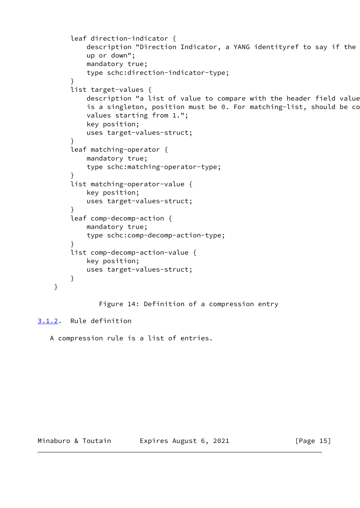```
 leaf direction-indicator {
            description "Direction Indicator, a YANG identityref to say if the
             up or down";
             mandatory true;
             type schc:direction-indicator-type;
         }
         list target-values {
            description "a list of value to compare with the header field value
            is a singleton, position must be 0. For matching-list, should be co
             values starting from 1.";
             key position;
             uses target-values-struct;
         }
         leaf matching-operator {
             mandatory true;
             type schc:matching-operator-type;
         }
         list matching-operator-value {
             key position;
             uses target-values-struct;
 }
         leaf comp-decomp-action {
             mandatory true;
             type schc:comp-decomp-action-type;
         }
         list comp-decomp-action-value {
             key position;
             uses target-values-struct;
         }
                Figure 14: Definition of a compression entry
```
# <span id="page-16-0"></span>[3.1.2](#page-16-0). Rule definition

}

A compression rule is a list of entries.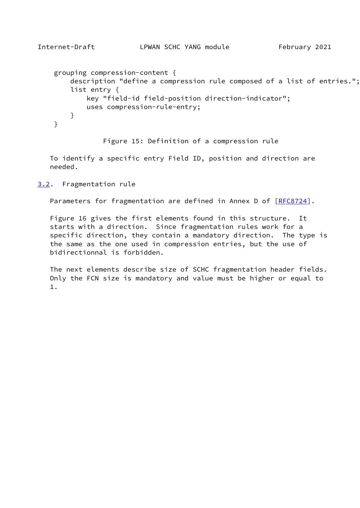```
Internet-Draft LPWAN SCHC YANG module February 2021
    grouping compression-content {
        description "define a compression rule composed of a list of entries.";
        list entry {
            key "field-id field-position direction-indicator";
            uses compression-rule-entry;
        }
```

```
 Figure 15: Definition of a compression rule
```
 To identify a specific entry Field ID, position and direction are needed.

<span id="page-17-0"></span>[3.2](#page-17-0). Fragmentation rule

}

Parameters for fragmentation are defined in Annex D of [\[RFC8724](https://datatracker.ietf.org/doc/pdf/rfc8724)].

 Figure 16 gives the first elements found in this structure. It starts with a direction. Since fragmentation rules work for a specific direction, they contain a mandatory direction. The type is the same as the one used in compression entries, but the use of bidirectionnal is forbidden.

 The next elements describe size of SCHC fragmentation header fields. Only the FCN size is mandatory and value must be higher or equal to 1.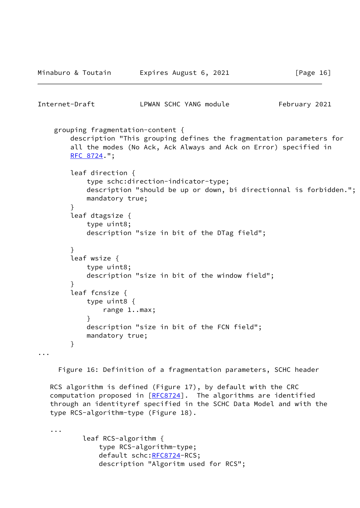Minaburo & Toutain Expires August 6, 2021 [Page 16]

```
Internet-Draft LPWAN SCHC YANG module February 2021
     grouping fragmentation-content {
        description "This grouping defines the fragmentation parameters for
        all the modes (No Ack, Ack Always and Ack on Error) specified in
        RFC 8724.";
        leaf direction {
            type schc:direction-indicator-type;
            description "should be up or down, bi directionnal is forbidden.";
            mandatory true;
 }
        leaf dtagsize {
            type uint8;
            description "size in bit of the DTag field";
        }
        leaf wsize {
            type uint8;
            description "size in bit of the window field";
        }
        leaf fcnsize {
            type uint8 {
                range 1..max;
 }
            description "size in bit of the FCN field";
            mandatory true;
        }
...
      Figure 16: Definition of a fragmentation parameters, SCHC header
   RCS algorithm is defined (Figure 17), by default with the CRC
   [RFC8724]. The algorithms are identified
    through an identityref specified in the SCHC Data Model and with the
    type RCS-algorithm-type (Figure 18).
    ...
```
 leaf RCS-algorithm { type RCS-algorithm-type; default schc: RFC8724-RCS; description "Algoritm used for RCS";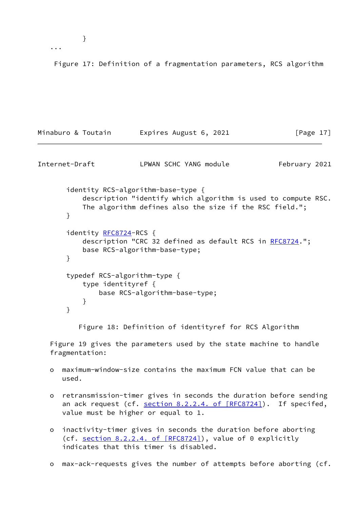...

Figure 17: Definition of a fragmentation parameters, RCS algorithm

```
Minaburo & Toutain Expires August 6, 2021 [Page 17]
Internet-Draft LPWAN SCHC YANG module February 2021
       identity RCS-algorithm-base-type {
          description "identify which algorithm is used to compute RSC.
          The algorithm defines also the size if the RSC field.";
       }
       identity RFC8724-RCS {
          RFC8724.";
          base RCS-algorithm-base-type;
       }
       typedef RCS-algorithm-type {
          type identityref {
             base RCS-algorithm-base-type;
 }
       }
         Figure 18: Definition of identityref for RCS Algorithm
```
 Figure 19 gives the parameters used by the state machine to handle fragmentation:

- o maximum-window-size contains the maximum FCN value that can be used.
- o retransmission-timer gives in seconds the duration before sending an ack request (cf. section [8.2.2.4. of \[RFC8724\]\)](https://datatracker.ietf.org/doc/pdf/rfc8724#section-8.2.2.4). If specifed, value must be higher or equal to 1.
- o inactivity-timer gives in seconds the duration before aborting (cf. section [8.2.2.4. of \[RFC8724\]](https://datatracker.ietf.org/doc/pdf/rfc8724#section-8.2.2.4)), value of 0 explicitly indicates that this timer is disabled.
- o max-ack-requests gives the number of attempts before aborting (cf.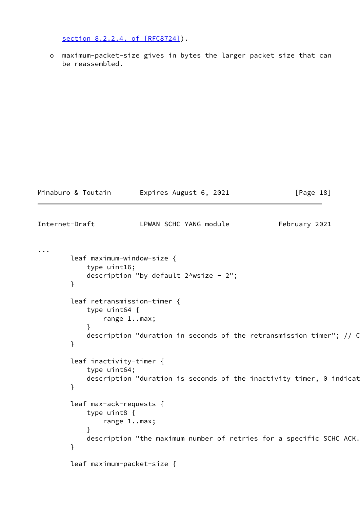section [8.2.2.4. of \[RFC8724\]\)](https://datatracker.ietf.org/doc/pdf/rfc8724#section-8.2.2.4).

 o maximum-packet-size gives in bytes the larger packet size that can be reassembled.

|                | Minaburo & Toutain                                                                                 | Expires August 6, 2021                                                                                                                                                           | [Page 18]     |
|----------------|----------------------------------------------------------------------------------------------------|----------------------------------------------------------------------------------------------------------------------------------------------------------------------------------|---------------|
| Internet-Draft |                                                                                                    | LPWAN SCHC YANG module                                                                                                                                                           | February 2021 |
| $\cdots$       | leaf maximum-window-size {<br>type uint16;<br>}<br>type $uint64$ {<br>}<br>leaf inactivity-timer { | description "by default $2^{\wedge}$ wsize - $2^{\wedge}$ ;<br>leaf retransmission-timer {<br>range 1max;<br>description "duration in seconds of the retransmission timer"; // C |               |
|                | type uint64;<br>}                                                                                  | description "duration is seconds of the inactivity timer, 0 indicat                                                                                                              |               |
|                | leaf max-ack-requests {<br>type uint8 {<br>$\mathcal{F}$<br>}                                      | range 1max;<br>description "the maximum number of retries for a specific SCHC ACK.                                                                                               |               |
|                | leaf maximum-packet-size {                                                                         |                                                                                                                                                                                  |               |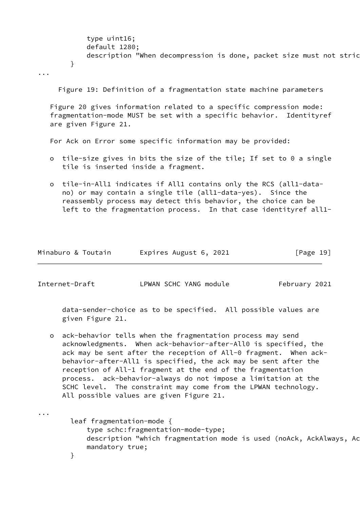type uint16; default 1280; description "When decompression is done, packet size must not stric }

...

Figure 19: Definition of a fragmentation state machine parameters

 Figure 20 gives information related to a specific compression mode: fragmentation-mode MUST be set with a specific behavior. Identityref are given Figure 21.

For Ack on Error some specific information may be provided:

- o tile-size gives in bits the size of the tile; If set to 0 a single tile is inserted inside a fragment.
- o tile-in-All1 indicates if All1 contains only the RCS (all1-data no) or may contain a single tile (all1-data-yes). Since the reassembly process may detect this behavior, the choice can be left to the fragmentation process. In that case identityref all1-

| Minaburo & Toutain | Expires August 6, 2021 | [Page 19] |
|--------------------|------------------------|-----------|
|--------------------|------------------------|-----------|

Internet-Draft LPWAN SCHC YANG module February 2021

 data-sender-choice as to be specified. All possible values are given Figure 21.

 o ack-behavior tells when the fragmentation process may send acknowledgments. When ack-behavior-after-All0 is specified, the ack may be sent after the reception of All-0 fragment. When ack behavior-after-All1 is specified, the ack may be sent after the reception of All-1 fragment at the end of the fragmentation process. ack-behavior-always do not impose a limitation at the SCHC level. The constraint may come from the LPWAN technology. All possible values are given Figure 21.

...

 leaf fragmentation-mode { type schc:fragmentation-mode-type; description "which fragmentation mode is used (noAck, AckAlways, Ac mandatory true; }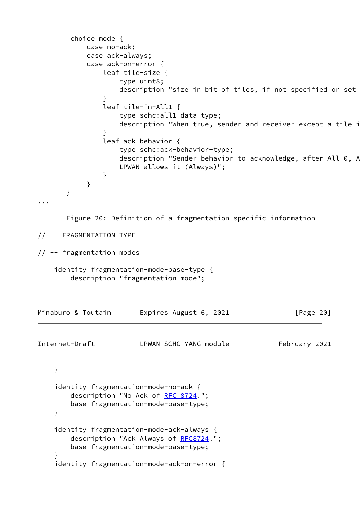```
 choice mode {
           case no-ack;
           case ack-always;
           case ack-on-error {
               leaf tile-size {
                   type uint8;
                  description "size in bit of tiles, if not specified or set
 }
               leaf tile-in-All1 {
                   type schc:all1-data-type;
                  description "When true, sender and receiver except a tile i
 }
               leaf ack-behavior {
                   type schc:ack-behavior-type;
                  description "Sender behavior to acknowledge, after All-0, A
                   LPWAN allows it (Always)";
 }
 }
       }
...
       Figure 20: Definition of a fragmentation specific information
// -- FRAGMENTATION TYPE
// -- fragmentation modes
    identity fragmentation-mode-base-type {
        description "fragmentation mode";
Minaburo & Toutain Expires August 6, 2021 [Page 20]
Internet-Draft LPWAN SCHC YANG module February 2021
    }
    identity fragmentation-mode-no-ack {
       RFC 8724.";
        base fragmentation-mode-base-type;
    }
    identity fragmentation-mode-ack-always {
        RFC8724.";
        base fragmentation-mode-base-type;
    }
    identity fragmentation-mode-ack-on-error {
```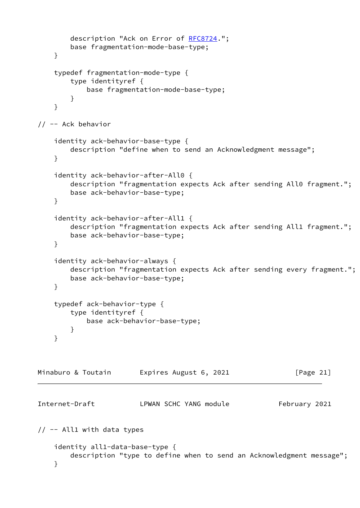```
 RFC8724.";
        base fragmentation-mode-base-type;
     }
    typedef fragmentation-mode-type {
         type identityref {
            base fragmentation-mode-base-type;
         }
     }
// -- Ack behavior
     identity ack-behavior-base-type {
        description "define when to send an Acknowledgment message";
     }
     identity ack-behavior-after-All0 {
        description "fragmentation expects Ack after sending All0 fragment.";
        base ack-behavior-base-type;
     }
     identity ack-behavior-after-All1 {
        description "fragmentation expects Ack after sending All1 fragment.";
        base ack-behavior-base-type;
     }
     identity ack-behavior-always {
        description "fragmentation expects Ack after sending every fragment.";
        base ack-behavior-base-type;
     }
     typedef ack-behavior-type {
         type identityref {
            base ack-behavior-base-type;
        }
     }
Minaburo & Toutain     Expires August 6, 2021             [Page 21]
Internet-Draft LPWAN SCHC YANG module February 2021
// -- All1 with data types
     identity all1-data-base-type {
        description "type to define when to send an Acknowledgment message";
     }
```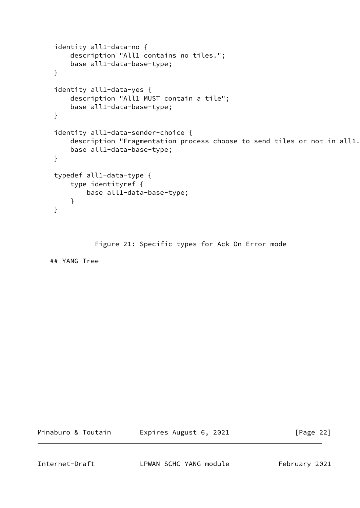```
 identity all1-data-no {
     description "All1 contains no tiles.";
     base all1-data-base-type;
 }
 identity all1-data-yes {
     description "All1 MUST contain a tile";
     base all1-data-base-type;
 }
 identity all1-data-sender-choice {
    description "Fragmentation process choose to send tiles or not in all1.
     base all1-data-base-type;
 }
 typedef all1-data-type {
     type identityref {
         base all1-data-base-type;
     }
 }
```
Figure 21: Specific types for Ack On Error mode

## YANG Tree

Minaburo & Toutain **Expires August 6, 2021** [Page 22]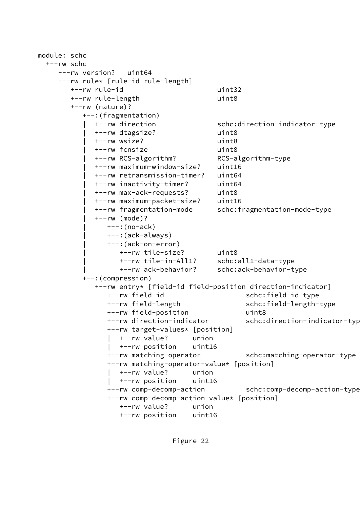```
module: schc
  +--rw schc
     +--rw version? uint64
     +--rw rule* [rule-id rule-length]
        +--rw rule-id uint32
        +--rw rule-length uint8
        +--rw (nature)?
           +--:(fragmentation)
             | +--rw direction schc:direction-indicator-type
             | +--rw dtagsize? uint8
             | +--rw wsize? uint8
             | +--rw fcnsize uint8
             | +--rw RCS-algorithm? RCS-algorithm-type
             | +--rw maximum-window-size? uint16
             | +--rw retransmission-timer? uint64
             | +--rw inactivity-timer? uint64
             | +--rw max-ack-requests? uint8
             | +--rw maximum-packet-size? uint16
             | +--rw fragmentation-mode schc:fragmentation-mode-type
             | +--rw (mode)?
                | +--:(no-ack)
                | +--:(ack-always)
                | +--:(ack-on-error)
                   | +--rw tile-size? uint8
                   | +--rw tile-in-All1? schc:all1-data-type
                   | +--rw ack-behavior? schc:ack-behavior-type
           +--:(compression)
             +--rw entry* [field-id field-position direction-indicator]
                +--rw field-id schc:field-id-type
                +--rw field-length schc:field-length-type
                +--rw field-position uint8
               +--rw direction-indicator schc:direction-indicator-typ
                +--rw target-values* [position]
                   | +--rw value? union
                   | +--rw position uint16
                +--rw matching-operator schc:matching-operator-type
                +--rw matching-operator-value* [position]
                   | +--rw value? union
                   | +--rw position uint16
                +--rw comp-decomp-action schc:comp-decomp-action-type
                +--rw comp-decomp-action-value* [position]
                   +--rw value? union
                   +--rw position uint16
```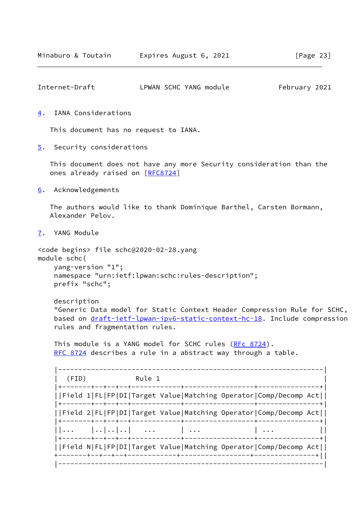<span id="page-26-1"></span>

| Internet-Draft | LPWAN SCHC YANG module | February 2021 |
|----------------|------------------------|---------------|
|                |                        |               |

<span id="page-26-0"></span>[4](#page-26-0). IANA Considerations

This document has no request to IANA.

<span id="page-26-2"></span>[5](#page-26-2). Security considerations

 This document does not have any more Security consideration than the ones already raised on [\[RFC8724](https://datatracker.ietf.org/doc/pdf/rfc8724)]

<span id="page-26-3"></span>[6](#page-26-3). Acknowledgements

 The authors would like to thank Dominique Barthel, Carsten Bormann, Alexander Pelov.

<span id="page-26-4"></span>[7](#page-26-4). YANG Module

<code begins> file schc@2020-02-28.yang module schc{ yang-version "1"; namespace "urn:ietf:lpwan:schc:rules-description"; prefix "schc";

 description "Generic Data model for Static Context Header Compression Rule for SCHC, based on [draft-ietf-lpwan-ipv6-static-context-hc-18.](https://datatracker.ietf.org/doc/pdf/draft-ietf-lpwan-ipv6-static-context-hc-18) Include compression rules and fragmentation rules.

This module is a YANG model for SCHC rules [\(RFc 8724](https://datatracker.ietf.org/doc/pdf/rfc8724)). [RFC 8724](https://datatracker.ietf.org/doc/pdf/rfc8724) describes a rule in a abstract way through a table.

 |-----------------------------------------------------------------| | (FID) Rule 1 | |+-------+--+--+--+------------+-----------------+---------------+| ||Field 1|FL|FP|DI|Target Value|Matching Operator|Comp/Decomp Act|| |+-------+--+--+--+------------+-----------------+---------------+| ||Field 2|FL|FP|DI|Target Value|Matching Operator|Comp/Decomp Act|| |+-------+--+--+--+------------+-----------------+---------------+|  $||... - |...|...|...|$  ...  $||... - ||...||$  |+-------+--+--+--+------------+-----------------+---------------+| ||Field N|FL|FP|DI|Target Value|Matching Operator|Comp/Decomp Act|| +-------+--+--+--+------------+-----------------+---------------+|| |-----------------------------------------------------------------|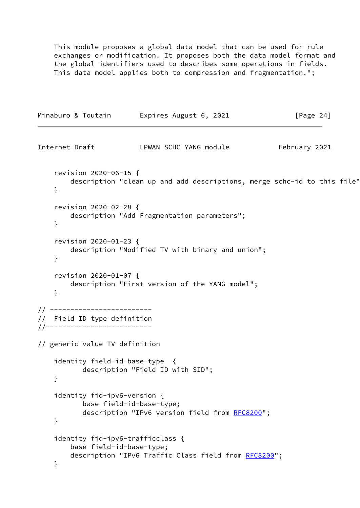This module proposes a global data model that can be used for rule exchanges or modification. It proposes both the data model format and the global identifiers used to describes some operations in fields. This data model applies both to compression and fragmentation.";

Minaburo & Toutain Expires August 6, 2021 [Page 24]

```
Internet-Draft LPWAN SCHC YANG module February 2021
    revision 2020-06-15 {
       description "clean up and add descriptions, merge schc-id to this file"
    }
    revision 2020-02-28 {
        description "Add Fragmentation parameters";
    }
    revision 2020-01-23 {
        description "Modified TV with binary and union";
    }
    revision 2020-01-07 {
        description "First version of the YANG model";
    }
// -------------------------
// Field ID type definition
//--------------------------
// generic value TV definition
    identity field-id-base-type {
           description "Field ID with SID";
    }
    identity fid-ipv6-version {
           base field-id-base-type;
           RFC8200";
    }
    identity fid-ipv6-trafficclass {
        base field-id-base-type;
        RFC8200";
    }
```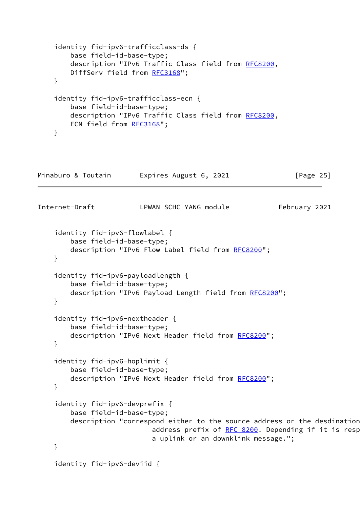```
 identity fid-ipv6-trafficclass-ds {
       base field-id-base-type;
       RFC8200,
       RFC3168";
    }
    identity fid-ipv6-trafficclass-ecn {
       base field-id-base-type;
       RFC8200,
       ECN field from RFC3168";
    }
Minaburo & Toutain Expires August 6, 2021 [Page 25]
Internet-Draft LPWAN SCHC YANG module February 2021
    identity fid-ipv6-flowlabel {
       base field-id-base-type;
       description "IPv6 Flow Label field from RFC8200";
    }
    identity fid-ipv6-payloadlength {
       base field-id-base-type;
       RFC8200";
    }
    identity fid-ipv6-nextheader {
       base field-id-base-type;
       RFC8200";
    }
    identity fid-ipv6-hoplimit {
       base field-id-base-type;
       RFC8200";
    }
    identity fid-ipv6-devprefix {
       base field-id-base-type;
       description "correspond either to the source address or the desdination
                      address prefix of RFC 8200. Depending if it is resp
                       a uplink or an downklink message.";
    }
    identity fid-ipv6-deviid {
```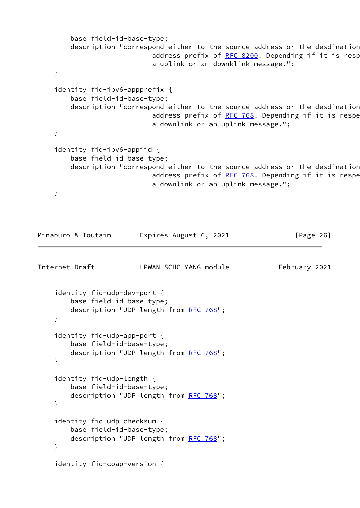```
 base field-id-base-type;
     description "correspond either to the source address or the desdination
                         address prefix of RFC 8200. Depending if it is resp
                          a uplink or an downklink message.";
 }
 identity fid-ipv6-appprefix {
     base field-id-base-type;
     description "correspond either to the source address or the desdination
                         address prefix of RFC 768. Depending if it is respe
                          a downlink or an uplink message.";
 }
 identity fid-ipv6-appiid {
     base field-id-base-type;
     description "correspond either to the source address or the desdination
                        address prefix of RFC 768. Depending if it is respe
                          a downlink or an uplink message.";
 }
```

```
Internet-Draft LPWAN SCHC YANG module February 2021
    identity fid-udp-dev-port {
       base field-id-base-type;
       description "UDP length from RFC 768";
    }
    identity fid-udp-app-port {
       base field-id-base-type;
       RFC 768";
    }
    identity fid-udp-length {
       base field-id-base-type;
       RFC 768";
    }
    identity fid-udp-checksum {
       base field-id-base-type;
       RFC 768";
    }
    identity fid-coap-version {
```
Minaburo & Toutain Expires August 6, 2021 [Page 26]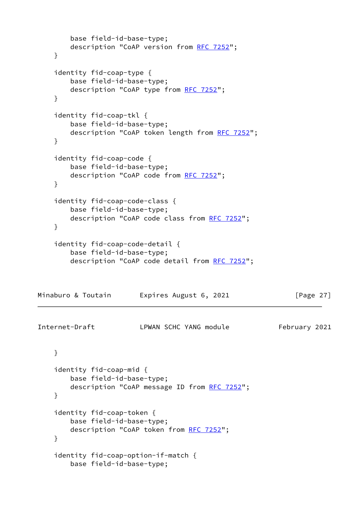```
 base field-id-base-type;
      RFC 7252";
    }
    identity fid-coap-type {
       base field-id-base-type;
       description "CoAP type from RFC 7252";
    }
    identity fid-coap-tkl {
       base field-id-base-type;
       RFC 7252";
    }
    identity fid-coap-code {
       base field-id-base-type;
       RFC 7252";
    }
    identity fid-coap-code-class {
       base field-id-base-type;
      RFC 7252";
    }
    identity fid-coap-code-detail {
       base field-id-base-type;
       RFC 7252";
Minaburo & Toutain Expires August 6, 2021 [Page 27]
Internet-Draft LPWAN SCHC YANG module February 2021
    }
    identity fid-coap-mid {
       base field-id-base-type;
      RFC 7252";
    }
    identity fid-coap-token {
       base field-id-base-type;
       description "CoAP token from RFC 7252";
    }
    identity fid-coap-option-if-match {
       base field-id-base-type;
```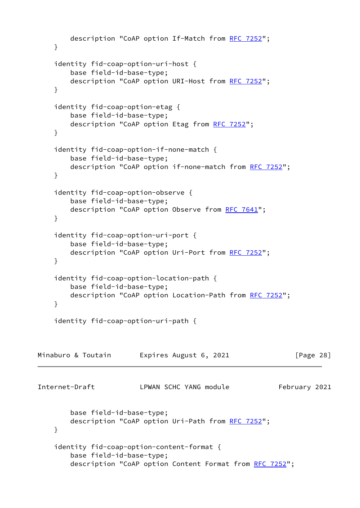```
RFC 7252";
    }
    identity fid-coap-option-uri-host {
       base field-id-base-type;
       description "CoAP option URI-Host from RFC 7252";
    }
    identity fid-coap-option-etag {
       base field-id-base-type;
       RFC 7252";
    }
    identity fid-coap-option-if-none-match {
       base field-id-base-type;
       description "CoAP option if-none-match from RFC 7252";
    }
    identity fid-coap-option-observe {
       base field-id-base-type;
      RFC 7641";
    }
    identity fid-coap-option-uri-port {
       base field-id-base-type;
      RFC 7252";
    }
    identity fid-coap-option-location-path {
       base field-id-base-type;
       RFC 7252";
    }
    identity fid-coap-option-uri-path {
Minaburo & Toutain Expires August 6, 2021 [Page 28]
Internet-Draft LPWAN SCHC YANG module February 2021
       base field-id-base-type;
       description "CoAP option Uri-Path from RFC 7252";
    }
    identity fid-coap-option-content-format {
       base field-id-base-type;
       RFC 7252";
```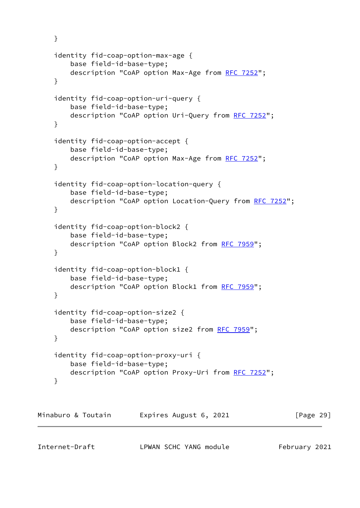```
 }
    identity fid-coap-option-max-age {
       base field-id-base-type;
      RFC 7252";
    }
    identity fid-coap-option-uri-query {
       base field-id-base-type;
       description "CoAP option Uri-Query from RFC 7252";
    }
    identity fid-coap-option-accept {
       base field-id-base-type;
      RFC 7252";
    }
    identity fid-coap-option-location-query {
       base field-id-base-type;
       RFC 7252";
    }
    identity fid-coap-option-block2 {
       base field-id-base-type;
       RFC 7959";
    }
    identity fid-coap-option-block1 {
       base field-id-base-type;
       description "CoAP option Block1 from RFC 7959";
    }
    identity fid-coap-option-size2 {
       base field-id-base-type;
       RFC 7959";
    }
    identity fid-coap-option-proxy-uri {
       base field-id-base-type;
       RFC 7252";
    }
Minaburo & Toutain Expires August 6, 2021 [Page 29]
```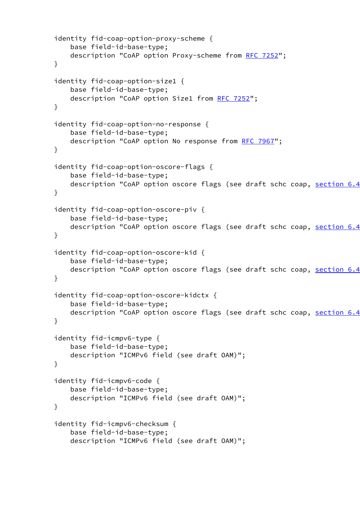```
 identity fid-coap-option-proxy-scheme {
    base field-id-base-type;
    description "CoAP option Proxy-scheme from RFC 7252";
 }
 identity fid-coap-option-size1 {
    base field-id-base-type;
    RFC 7252";
 }
 identity fid-coap-option-no-response {
    base field-id-base-type;
   RFC 7967";
 }
 identity fid-coap-option-oscore-flags {
    base field-id-base-type;
    description "CoAP option oscore flags (see draft schc coap, section 6.4
 }
 identity fid-coap-option-oscore-piv {
    base field-id-base-type;
   description "CoAP option oscore flags (see draft schc coap, section 6.4
 }
 identity fid-coap-option-oscore-kid {
    base field-id-base-type;
   description "CoAP option oscore flags (see draft schc coap, section 6.4
 }
 identity fid-coap-option-oscore-kidctx {
    base field-id-base-type;
   description "CoAP option oscore flags (see draft schc coap, section 6.4
 }
 identity fid-icmpv6-type {
    base field-id-base-type;
    description "ICMPv6 field (see draft OAM)";
 }
 identity fid-icmpv6-code {
    base field-id-base-type;
    description "ICMPv6 field (see draft OAM)";
 }
 identity fid-icmpv6-checksum {
    base field-id-base-type;
    description "ICMPv6 field (see draft OAM)";
```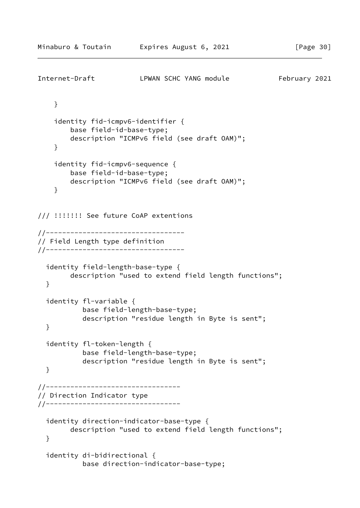```
Internet-Draft LPWAN SCHC YANG module February 2021
     }
     identity fid-icmpv6-identifier {
         base field-id-base-type;
         description "ICMPv6 field (see draft OAM)";
     }
     identity fid-icmpv6-sequence {
         base field-id-base-type;
         description "ICMPv6 field (see draft OAM)";
     }
/// !!!!!!! See future CoAP extentions
//----------------------------------
// Field Length type definition
//----------------------------------
   identity field-length-base-type {
         description "used to extend field length functions";
   }
   identity fl-variable {
            base field-length-base-type;
            description "residue length in Byte is sent";
   }
   identity fl-token-length {
            base field-length-base-type;
            description "residue length in Byte is sent";
   }
//---------------------------------
// Direction Indicator type
//---------------------------------
   identity direction-indicator-base-type {
         description "used to extend field length functions";
   }
   identity di-bidirectional {
            base direction-indicator-base-type;
```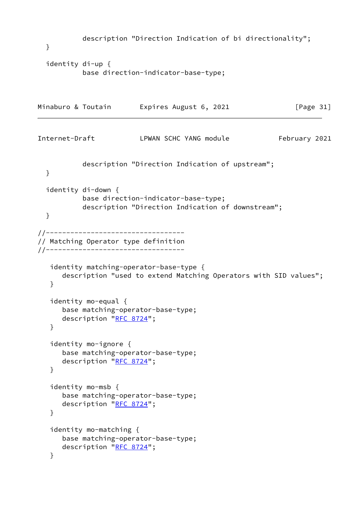```
 description "Direction Indication of bi directionality";
  }
  identity di-up {
           base direction-indicator-base-type;
Minaburo & Toutain Expires August 6, 2021 [Page 31]
Internet-Draft LPWAN SCHC YANG module February 2021
           description "Direction Indication of upstream";
  }
  identity di-down {
           base direction-indicator-base-type;
           description "Direction Indication of downstream";
  }
//----------------------------------
// Matching Operator type definition
//----------------------------------
   identity matching-operator-base-type {
      description "used to extend Matching Operators with SID values";
   }
   identity mo-equal {
      base matching-operator-base-type;
     "RFC 8724";
   }
   identity mo-ignore {
      base matching-operator-base-type;
     "RFC 8724";
   }
   identity mo-msb {
      base matching-operator-base-type;
     "RFC 8724";
   }
   identity mo-matching {
      base matching-operator-base-type;
     "RFC 8724";
   }
```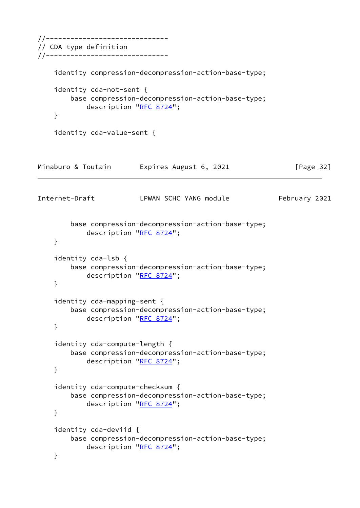```
//------------------------------
// CDA type definition
//------------------------------
    identity compression-decompression-action-base-type;
    identity cda-not-sent {
        base compression-decompression-action-base-type;
           "RFC 8724";
    }
    identity cda-value-sent {
Minaburo & Toutain Expires August 6, 2021 [Page 32]
Internet-Draft LPWAN SCHC YANG module February 2021
        base compression-decompression-action-base-type;
            description "RFC 8724";
    }
    identity cda-lsb {
        base compression-decompression-action-base-type;
            description "RFC 8724";
    }
    identity cda-mapping-sent {
        base compression-decompression-action-base-type;
           "RFC 8724";
    }
    identity cda-compute-length {
        base compression-decompression-action-base-type;
           "RFC 8724";
    }
    identity cda-compute-checksum {
        base compression-decompression-action-base-type;
            description "RFC 8724";
    }
    identity cda-deviid {
        base compression-decompression-action-base-type;
           "RFC 8724";
    }
```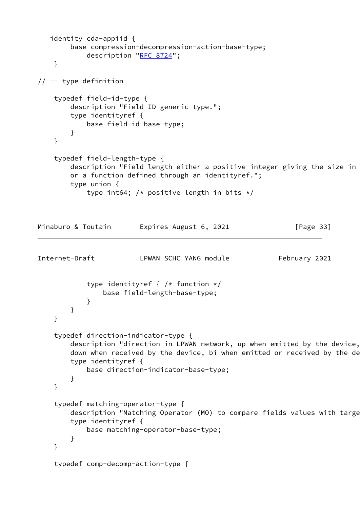```
 identity cda-appiid {
        base compression-decompression-action-base-type;
           "RFC 8724";
     }
// -- type definition
     typedef field-id-type {
        description "Field ID generic type.";
        type identityref {
            base field-id-base-type;
        }
     }
     typedef field-length-type {
       description "Field length either a positive integer giving the size in
         or a function defined through an identityref.";
         type union {
           type int64; /* positive length in bits */Minaburo & Toutain Expires August 6, 2021 [Page 33]
Internet-Draft LPWAN SCHC YANG module February 2021
            type identityref { /* function */
                base field-length-base-type;
 }
        }
     }
     typedef direction-indicator-type {
        description "direction in LPWAN network, up when emitted by the device,
       down when received by the device, bi when emitted or received by the de
        type identityref {
            base direction-indicator-base-type;
         }
     }
     typedef matching-operator-type {
       description "Matching Operator (MO) to compare fields values with targe
        type identityref {
            base matching-operator-base-type;
        }
     }
     typedef comp-decomp-action-type {
```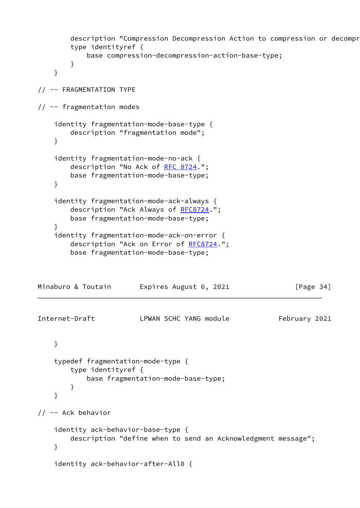```
description "Compression Decompression Action to compression or decompr
        type identityref {
            base compression-decompression-action-base-type;
        }
    }
// -- FRAGMENTATION TYPE
// -- fragmentation modes
    identity fragmentation-mode-base-type {
        description "fragmentation mode";
    }
    identity fragmentation-mode-no-ack {
       RFC 8724.";
        base fragmentation-mode-base-type;
    }
    identity fragmentation-mode-ack-always {
        RFC8724.";
        base fragmentation-mode-base-type;
    }
    identity fragmentation-mode-ack-on-error {
        RFC8724.";
        base fragmentation-mode-base-type;
Minaburo & Toutain Expires August 6, 2021 [Page 34]
Internet-Draft LPWAN SCHC YANG module February 2021
    }
    typedef fragmentation-mode-type {
        type identityref {
            base fragmentation-mode-base-type;
        }
    }
// -- Ack behavior
    identity ack-behavior-base-type {
        description "define when to send an Acknowledgment message";
    }
    identity ack-behavior-after-All0 {
```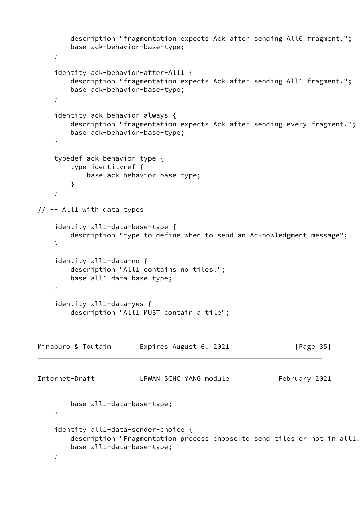```
 description "fragmentation expects Ack after sending All0 fragment.";
         base ack-behavior-base-type;
     }
     identity ack-behavior-after-All1 {
        description "fragmentation expects Ack after sending All1 fragment.";
         base ack-behavior-base-type;
     }
     identity ack-behavior-always {
         description "fragmentation expects Ack after sending every fragment.";
         base ack-behavior-base-type;
     }
     typedef ack-behavior-type {
        type identityref {
             base ack-behavior-base-type;
         }
     }
// -- All1 with data types
     identity all1-data-base-type {
         description "type to define when to send an Acknowledgment message";
     }
     identity all1-data-no {
         description "All1 contains no tiles.";
         base all1-data-base-type;
     }
     identity all1-data-yes {
         description "All1 MUST contain a tile";
Minaburo & Toutain Expires August 6, 2021 [Page 35]
Internet-Draft LPWAN SCHC YANG module February 2021
         base all1-data-base-type;
     }
     identity all1-data-sender-choice {
        description "Fragmentation process choose to send tiles or not in all1.
         base all1-data-base-type;
     }
```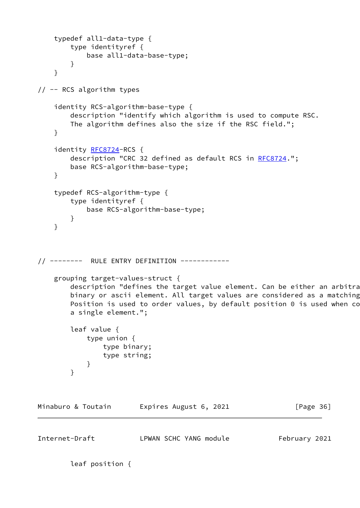```
 typedef all1-data-type {
        type identityref {
            base all1-data-base-type;
        }
    }
// -- RCS algorithm types
    identity RCS-algorithm-base-type {
        description "identify which algorithm is used to compute RSC.
        The algorithm defines also the size if the RSC field.";
    }
    RFC8724-RCS {
       RFC8724.";
        base RCS-algorithm-base-type;
    }
    typedef RCS-algorithm-type {
        type identityref {
            base RCS-algorithm-base-type;
        }
    }
// -------- RULE ENTRY DEFINITION ------------
    grouping target-values-struct {
       description "defines the target value element. Can be either an arbitra
       binary or ascii element. All target values are considered as a matching
       Position is used to order values, by default position 0 is used when co
        a single element.";
        leaf value {
            type union {
               type binary;
               type string;
 }
        }
Minaburo & Toutain Expires August 6, 2021 [Page 36]
Internet-Draft LPWAN SCHC YANG module February 2021
```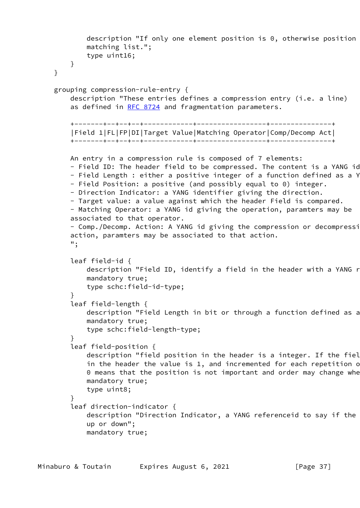```
description "If only one element position is 0, otherwise position
             matching list.";
             type uint16;
        }
    }
    grouping compression-rule-entry {
         description "These entries defines a compression entry (i.e. a line)
        RFC 8724 and fragmentation parameters.
         +-------+--+--+--+------------+-----------------+---------------+
         |Field 1|FL|FP|DI|Target Value|Matching Operator|Comp/Decomp Act|
         +-------+--+--+--+------------+-----------------+---------------+
        An entry in a compression rule is composed of 7 elements:
       - Field ID: The header field to be compressed. The content is a YANG id
       - Field Length : either a positive integer of a function defined as a Y
        - Field Position: a positive (and possibly equal to 0) integer.
        - Direction Indicator: a YANG identifier giving the direction.
        - Target value: a value against which the header Field is compared.
        - Matching Operator: a YANG id giving the operation, paramters may be
        associated to that operator.
       - Comp./Decomp. Action: A YANG id giving the compression or decompressi
        action, paramters may be associated to that action.
         ";
        leaf field-id {
            description "Field ID, identify a field in the header with a YANG r
             mandatory true;
             type schc:field-id-type;
 }
        leaf field-length {
            description "Field Length in bit or through a function defined as a
             mandatory true;
             type schc:field-length-type;
         }
         leaf field-position {
            description "field position in the header is a integer. If the fiel
            in the header the value is 1, and incremented for each repetition of
            0 means that the position is not important and order may change whe
             mandatory true;
             type uint8;
 }
         leaf direction-indicator {
            description "Direction Indicator, a YANG referenceid to say if the
             up or down";
             mandatory true;
```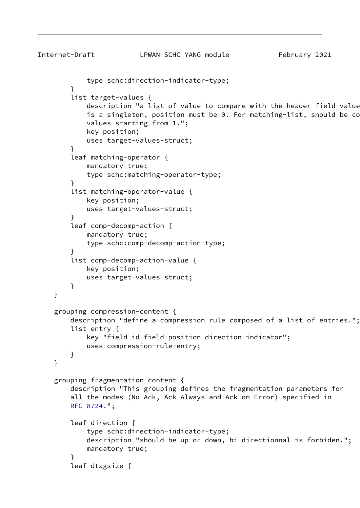```
Internet-Draft LPWAN SCHC YANG module February 2021
            type schc:direction-indicator-type;
        }
        list target-values {
           description "a list of value to compare with the header field value
           is a singleton, position must be 0. For matching-list, should be co
            values starting from 1.";
```

```
 key position;
             uses target-values-struct;
         }
         leaf matching-operator {
             mandatory true;
             type schc:matching-operator-type;
 }
         list matching-operator-value {
             key position;
             uses target-values-struct;
         }
         leaf comp-decomp-action {
             mandatory true;
             type schc:comp-decomp-action-type;
 }
         list comp-decomp-action-value {
             key position;
             uses target-values-struct;
         }
    }
     grouping compression-content {
         description "define a compression rule composed of a list of entries.";
         list entry {
             key "field-id field-position direction-indicator";
             uses compression-rule-entry;
         }
    }
     grouping fragmentation-content {
         description "This grouping defines the fragmentation parameters for
         all the modes (No Ack, Ack Always and Ack on Error) specified in
         RFC 8724.";
         leaf direction {
             type schc:direction-indicator-type;
             description "should be up or down, bi directionnal is forbiden.";
             mandatory true;
```
}

leaf dtagsize {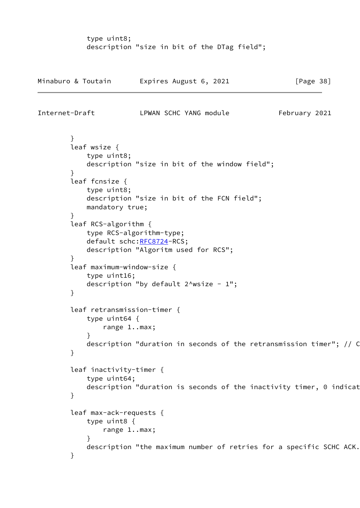type uint8; description "size in bit of the DTag field";

| Minaburo & Toutain | Expires August 6, 2021 | [Page 38] |
|--------------------|------------------------|-----------|
|--------------------|------------------------|-----------|

```
Internet-Draft LPWAN SCHC YANG module February 2021
```
 } leaf wsize { type uint8; description "size in bit of the window field"; } leaf fcnsize { type uint8; description "size in bit of the FCN field"; mandatory true; } leaf RCS-algorithm { type RCS-algorithm-type; default schc[:RFC8724](https://datatracker.ietf.org/doc/pdf/rfc8724)-RCS; description "Algoritm used for RCS"; } leaf maximum-window-size { type uint16; description "by default  $2^{\wedge}$ wsize - 1"; } leaf retransmission-timer { type uint64 { range 1..max; } description "duration in seconds of the retransmission timer";  $//$  C } leaf inactivity-timer { type uint64; description "duration is seconds of the inactivity timer, 0 indicat } leaf max-ack-requests { type uint8 { range 1..max; } description "the maximum number of retries for a specific SCHC ACK. }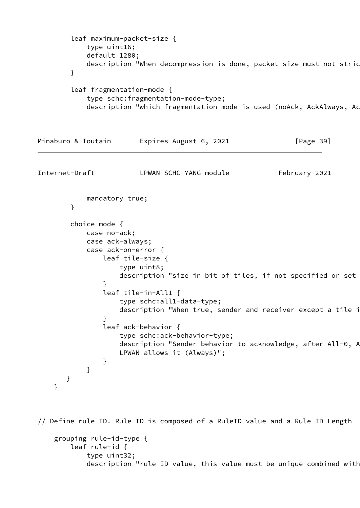```
 leaf maximum-packet-size {
            type uint16;
            default 1280;
           description "When decompression is done, packet size must not stric
        }
        leaf fragmentation-mode {
            type schc:fragmentation-mode-type;
           description "which fragmentation mode is used (noAck, AckAlways, Ac
Minaburo & Toutain Expires August 6, 2021 [Page 39]
Internet-Draft LPWAN SCHC YANG module February 2021
            mandatory true;
        }
        choice mode {
            case no-ack;
            case ack-always;
            case ack-on-error {
               leaf tile-size {
                   type uint8;
                  description "size in bit of tiles, if not specified or set
 }
                leaf tile-in-All1 {
                   type schc:all1-data-type;
                  description "When true, sender and receiver except a tile i
 }
                leaf ack-behavior {
                   type schc:ack-behavior-type;
                  description "Sender behavior to acknowledge, after All-0, A
                   LPWAN allows it (Always)";
 }
 }
       }
    }
// Define rule ID. Rule ID is composed of a RuleID value and a Rule ID Length
```

```
 grouping rule-id-type {
     leaf rule-id {
         type uint32;
        description "rule ID value, this value must be unique combined with
```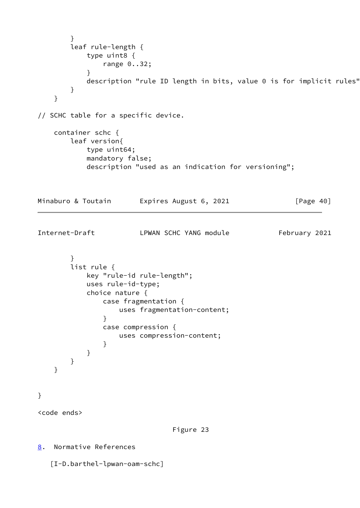```
 }
        leaf rule-length {
            type uint8 {
                range 0..32;
 }
           description "rule ID length in bits, value 0 is for implicit rules"
        }
    }
// SCHC table for a specific device.
    container schc {
        leaf version{
            type uint64;
            mandatory false;
            description "used as an indication for versioning";
Minaburo & Toutain Expires August 6, 2021 [Page 40]
Internet-Draft LPWAN SCHC YANG module February 2021
        }
        list rule {
            key "rule-id rule-length";
            uses rule-id-type;
            choice nature {
                case fragmentation {
                   uses fragmentation-content;
 }
                case compression {
                   uses compression-content;
 }
            }
        }
    }
}
<code ends>
                                Figure 23
8. Normative References
    [I-D.barthel-lpwan-oam-schc]
```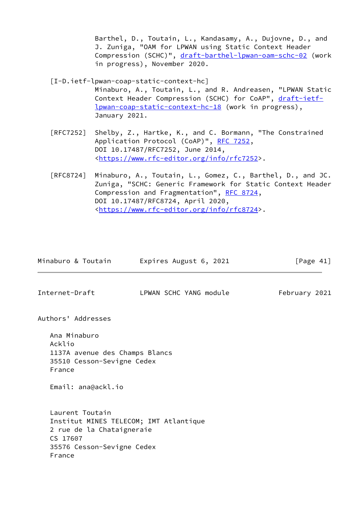Barthel, D., Toutain, L., Kandasamy, A., Dujovne, D., and J. Zuniga, "OAM for LPWAN using Static Context Header Compression (SCHC)", [draft-barthel-lpwan-oam-schc-02](https://datatracker.ietf.org/doc/pdf/draft-barthel-lpwan-oam-schc-02) (work in progress), November 2020.

<span id="page-46-1"></span>[I-D.ietf-lpwan-coap-static-context-hc]

 Minaburo, A., Toutain, L., and R. Andreasen, "LPWAN Static Context Header Compression (SCHC) for CoAP", [draft-ietf](https://datatracker.ietf.org/doc/pdf/draft-ietf-lpwan-coap-static-context-hc-18) [lpwan-coap-static-context-hc-18](https://datatracker.ietf.org/doc/pdf/draft-ietf-lpwan-coap-static-context-hc-18) (work in progress), January 2021.

- [RFC7252] Shelby, Z., Hartke, K., and C. Bormann, "The Constrained Application Protocol (CoAP)", [RFC 7252](https://datatracker.ietf.org/doc/pdf/rfc7252), DOI 10.17487/RFC7252, June 2014, <[https://www.rfc-editor.org/info/rfc7252>](https://www.rfc-editor.org/info/rfc7252).
- [RFC8724] Minaburo, A., Toutain, L., Gomez, C., Barthel, D., and JC. Zuniga, "SCHC: Generic Framework for Static Context Header Compression and Fragmentation", [RFC 8724,](https://datatracker.ietf.org/doc/pdf/rfc8724) DOI 10.17487/RFC8724, April 2020, <[https://www.rfc-editor.org/info/rfc8724>](https://www.rfc-editor.org/info/rfc8724).

<span id="page-46-0"></span>

|                    | Minaburo & Toutain                                                                                 | Expires August 6, 2021                 | [Page $41$ ]  |
|--------------------|----------------------------------------------------------------------------------------------------|----------------------------------------|---------------|
| Internet-Draft     |                                                                                                    | LPWAN SCHC YANG module                 | February 2021 |
|                    | Authors' Addresses                                                                                 |                                        |               |
| Acklio<br>France   | Ana Minaburo<br>1137A avenue des Champs Blancs<br>35510 Cesson-Sevigne Cedex<br>Email: ana@ackl.io |                                        |               |
| CS 17607<br>France | Laurent Toutain<br>2 rue de la Chataigneraie<br>35576 Cesson-Sevigne Cedex                         | Institut MINES TELECOM; IMT Atlantique |               |